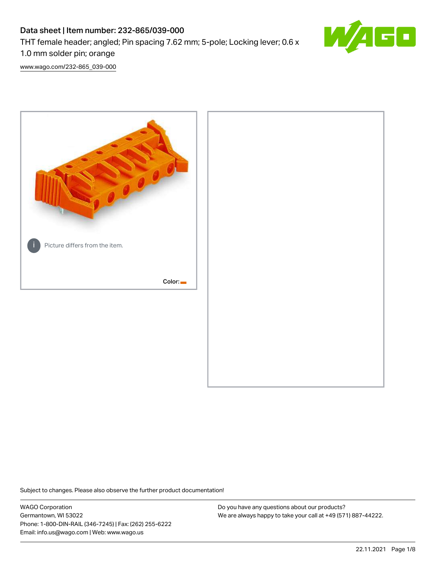## Data sheet | Item number: 232-865/039-000 THT female header; angled; Pin spacing 7.62 mm; 5-pole; Locking lever; 0.6 x 1.0 mm solder pin; orange



[www.wago.com/232-865\\_039-000](http://www.wago.com/232-865_039-000)



Subject to changes. Please also observe the further product documentation!

WAGO Corporation Germantown, WI 53022 Phone: 1-800-DIN-RAIL (346-7245) | Fax: (262) 255-6222 Email: info.us@wago.com | Web: www.wago.us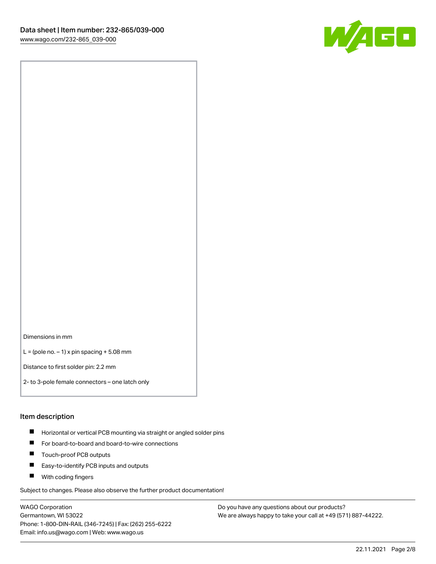

Dimensions in mm

 $L =$  (pole no.  $-1$ ) x pin spacing  $+5.08$  mm

Distance to first solder pin: 2.2 mm

2- to 3-pole female connectors – one latch only

#### Item description

- **Horizontal or vertical PCB mounting via straight or angled solder pins**
- For board-to-board and board-to-wire connections
- $\blacksquare$ Touch-proof PCB outputs
- $\blacksquare$ Easy-to-identify PCB inputs and outputs
- **Now With coding fingers**

Subject to changes. Please also observe the further product documentation!

WAGO Corporation Germantown, WI 53022 Phone: 1-800-DIN-RAIL (346-7245) | Fax: (262) 255-6222 Email: info.us@wago.com | Web: www.wago.us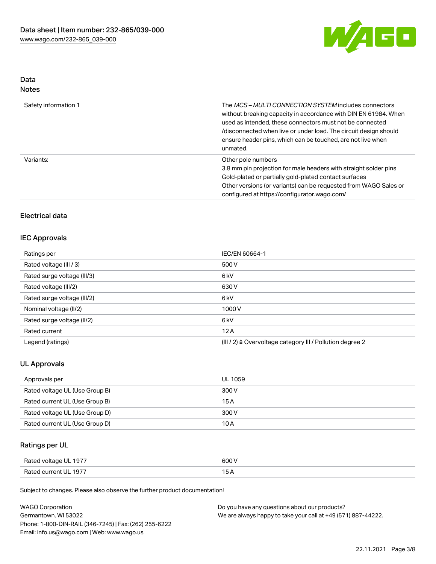

# Data

| Safety information 1 | The <i>MCS – MULTI CONNECTION SYSTEM</i> includes connectors<br>without breaking capacity in accordance with DIN EN 61984. When<br>used as intended, these connectors must not be connected<br>/disconnected when live or under load. The circuit design should<br>ensure header pins, which can be touched, are not live when<br>unmated. |
|----------------------|--------------------------------------------------------------------------------------------------------------------------------------------------------------------------------------------------------------------------------------------------------------------------------------------------------------------------------------------|
| Variants:            | Other pole numbers<br>3.8 mm pin projection for male headers with straight solder pins<br>Gold-plated or partially gold-plated contact surfaces<br>Other versions (or variants) can be requested from WAGO Sales or<br>configured at https://configurator.wago.com/                                                                        |

## Electrical data

#### IEC Approvals

| Ratings per                 | IEC/EN 60664-1                                                       |
|-----------------------------|----------------------------------------------------------------------|
| Rated voltage (III / 3)     | 500 V                                                                |
| Rated surge voltage (III/3) | 6 <sub>k</sub> V                                                     |
| Rated voltage (III/2)       | 630 V                                                                |
| Rated surge voltage (III/2) | 6 <sub>k</sub> V                                                     |
| Nominal voltage (II/2)      | 1000V                                                                |
| Rated surge voltage (II/2)  | 6 <sub>k</sub> V                                                     |
| Rated current               | 12A                                                                  |
| Legend (ratings)            | (III / 2) $\triangleq$ Overvoltage category III / Pollution degree 2 |

#### UL Approvals

| Approvals per                  | UL 1059 |
|--------------------------------|---------|
| Rated voltage UL (Use Group B) | 300 V   |
| Rated current UL (Use Group B) | 15 A    |
| Rated voltage UL (Use Group D) | 300 V   |
| Rated current UL (Use Group D) | 10 A    |

## Ratings per UL

| Rated voltage UL 1977 | 600 V |
|-----------------------|-------|
| Rated current UL 1977 |       |

Subject to changes. Please also observe the further product documentation!

| <b>WAGO Corporation</b>                                | Do you have any questions about our products?                 |
|--------------------------------------------------------|---------------------------------------------------------------|
| Germantown, WI 53022                                   | We are always happy to take your call at +49 (571) 887-44222. |
| Phone: 1-800-DIN-RAIL (346-7245)   Fax: (262) 255-6222 |                                                               |
| Email: info.us@wago.com   Web: www.wago.us             |                                                               |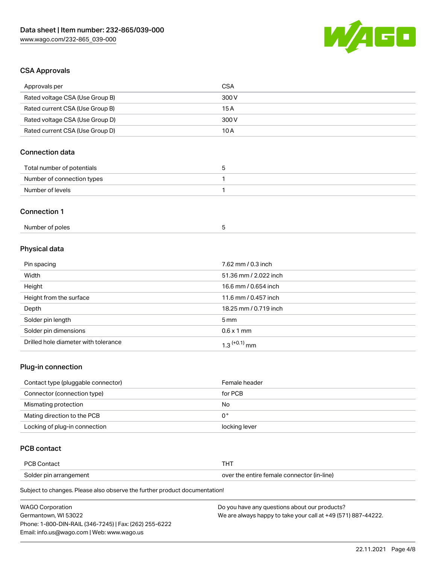

## CSA Approvals

| Approvals per                          | <b>CSA</b>            |  |
|----------------------------------------|-----------------------|--|
| Rated voltage CSA (Use Group B)        | 300V                  |  |
| Rated current CSA (Use Group B)        | 15A                   |  |
| Rated voltage CSA (Use Group D)        | 300V                  |  |
| Rated current CSA (Use Group D)        | 10A                   |  |
| <b>Connection data</b>                 |                       |  |
| Total number of potentials             | 5                     |  |
| Number of connection types             | $\mathbf{1}$          |  |
| Number of levels                       | 1                     |  |
| <b>Connection 1</b><br>Number of poles | 5                     |  |
| Physical data                          |                       |  |
| Pin spacing                            | 7.62 mm / 0.3 inch    |  |
| Width                                  | 51.36 mm / 2.022 inch |  |
| Height                                 | 16.6 mm / 0.654 inch  |  |
| Height from the surface                | 11.6 mm / 0.457 inch  |  |
| Depth                                  | 18.25 mm / 0.719 inch |  |
| Solder pin length                      | 5 <sub>mm</sub>       |  |
| Solder pin dimensions                  | $0.6 \times 1$ mm     |  |
| Drilled hole diameter with tolerance   | $1.3$ $(+0.1)$ mm     |  |

#### Plug-in connection

| Contact type (pluggable connector) | Female header |
|------------------------------------|---------------|
| Connector (connection type)        | for PCB       |
| Mismating protection               | No            |
| Mating direction to the PCB        | 0°            |
| Locking of plug-in connection      | locking lever |

## PCB contact

| PCB Contact            | тнт                                        |
|------------------------|--------------------------------------------|
| Solder pin arrangement | over the entire female connector (in-line) |

Subject to changes. Please also observe the further product documentation!

| <b>WAGO Corporation</b>                                | Do you have any questions about our products?                 |
|--------------------------------------------------------|---------------------------------------------------------------|
| Germantown. WI 53022                                   | We are always happy to take your call at +49 (571) 887-44222. |
| Phone: 1-800-DIN-RAIL (346-7245)   Fax: (262) 255-6222 |                                                               |
| Email: info.us@wago.com   Web: www.wago.us             |                                                               |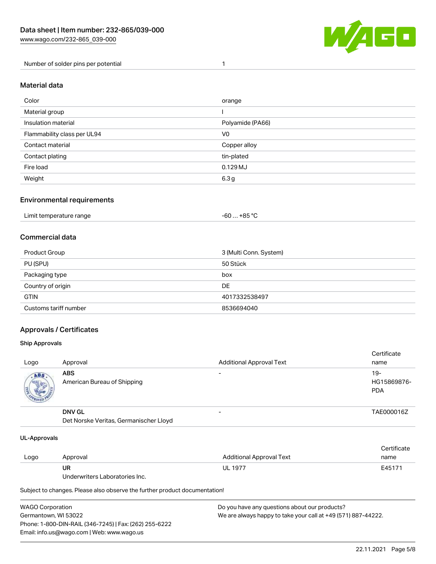

Number of solder pins per potential 1

#### Material data

| Color                       | orange           |
|-----------------------------|------------------|
| Material group              |                  |
| Insulation material         | Polyamide (PA66) |
| Flammability class per UL94 | V <sub>0</sub>   |
| Contact material            | Copper alloy     |
| Contact plating             | tin-plated       |
| Fire load                   | $0.129$ MJ       |
| Weight                      | 6.3 <sub>g</sub> |

#### Environmental requirements

| Limit temperature range<br>. | . +85 °Ր<br>-60 |  |
|------------------------------|-----------------|--|
|------------------------------|-----------------|--|

## Commercial data

| Product Group         | 3 (Multi Conn. System) |
|-----------------------|------------------------|
| PU (SPU)              | 50 Stück               |
| Packaging type        | box                    |
| Country of origin     | DE                     |
| <b>GTIN</b>           | 4017332538497          |
| Customs tariff number | 8536694040             |

## Approvals / Certificates

#### Ship Approvals

| Logo | Approval                                                | <b>Additional Approval Text</b> | Certificate<br>name              |
|------|---------------------------------------------------------|---------------------------------|----------------------------------|
| ABS  | <b>ABS</b><br>American Bureau of Shipping               | $\overline{\phantom{0}}$        | 19-<br>HG15869876-<br><b>PDA</b> |
|      | <b>DNV GL</b><br>Det Norske Veritas, Germanischer Lloyd |                                 | TAE000016Z                       |

#### UL-Approvals

| Logo | Approval                       | Additional Approval Text | Certificate<br>name |
|------|--------------------------------|--------------------------|---------------------|
|      | UR                             | <b>UL 1977</b>           | E45171              |
|      | Underwriters Laboratories Inc. |                          |                     |

Subject to changes. Please also observe the further product documentation!

| WAGO Corporation                                       | Do you have any questions about our products?                 |
|--------------------------------------------------------|---------------------------------------------------------------|
| Germantown, WI 53022                                   | We are always happy to take your call at +49 (571) 887-44222. |
| Phone: 1-800-DIN-RAIL (346-7245)   Fax: (262) 255-6222 |                                                               |
| Email: info.us@wago.com   Web: www.wago.us             |                                                               |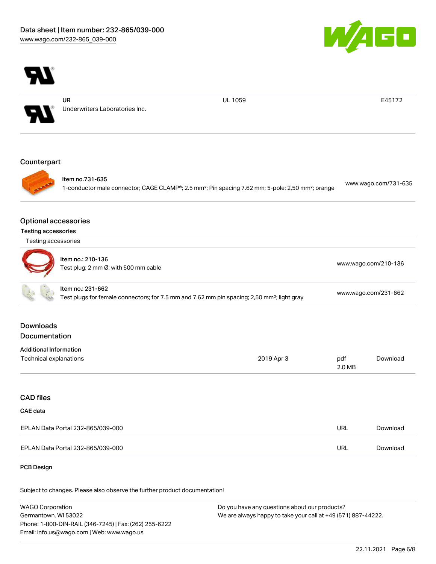



Subject to changes. Please also observe the further product documentation!

WAGO Corporation Germantown, WI 53022 Phone: 1-800-DIN-RAIL (346-7245) | Fax: (262) 255-6222 Email: info.us@wago.com | Web: www.wago.us Do you have any questions about our products? We are always happy to take your call at +49 (571) 887-44222.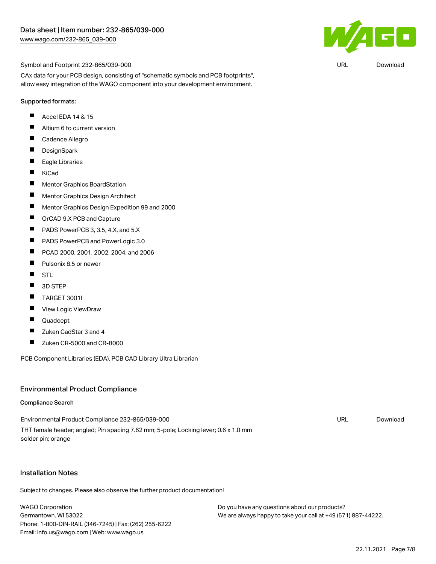

URL [Download](https://www.wago.com/global/d/UltraLibrarian_URLS_232-865_039-000)

Symbol and Footprint 232-865/039-000

CAx data for your PCB design, consisting of "schematic symbols and PCB footprints", allow easy integration of the WAGO component into your development environment.

#### Supported formats:

- П Accel EDA 14 & 15
- $\blacksquare$ Altium 6 to current version
- $\blacksquare$ Cadence Allegro
- $\blacksquare$ **DesignSpark**
- $\blacksquare$ Eagle Libraries
- $\blacksquare$ KiCad
- $\blacksquare$ Mentor Graphics BoardStation
- $\blacksquare$ Mentor Graphics Design Architect
- $\blacksquare$ Mentor Graphics Design Expedition 99 and 2000
- $\blacksquare$ OrCAD 9.X PCB and Capture
- П PADS PowerPCB 3, 3.5, 4.X, and 5.X
- $\blacksquare$ PADS PowerPCB and PowerLogic 3.0
- $\blacksquare$ PCAD 2000, 2001, 2002, 2004, and 2006
- $\blacksquare$ Pulsonix 8.5 or newer
- $\blacksquare$ **STL**
- $\blacksquare$ 3D STEP
- $\blacksquare$ TARGET 3001!
- $\blacksquare$ View Logic ViewDraw
- П Quadcept
- $\blacksquare$ Zuken CadStar 3 and 4
- $\blacksquare$ Zuken CR-5000 and CR-8000

PCB Component Libraries (EDA), PCB CAD Library Ultra Librarian

#### Environmental Product Compliance

#### Compliance Search

| Environmental Product Compliance 232-865/039-000                                    | URL | Download |
|-------------------------------------------------------------------------------------|-----|----------|
| THT female header; angled; Pin spacing 7.62 mm; 5-pole; Locking lever; 0.6 x 1.0 mm |     |          |
| solder pin; orange                                                                  |     |          |

#### Installation Notes

Subject to changes. Please also observe the further product documentation!

WAGO Corporation Germantown, WI 53022 Phone: 1-800-DIN-RAIL (346-7245) | Fax: (262) 255-6222 Email: info.us@wago.com | Web: www.wago.us